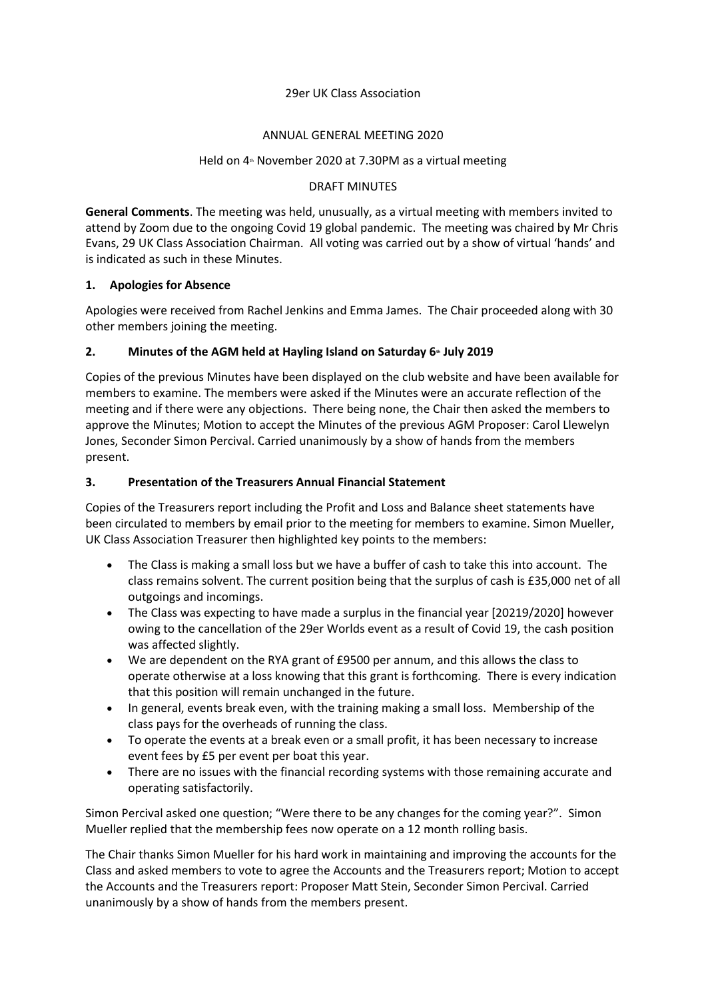### 29er UK Class Association

### ANNUAL GENERAL MEETING 2020

### Held on 4<sup>th</sup> November 2020 at 7.30PM as a virtual meeting

#### DRAFT MINUTES

**General Comments**. The meeting was held, unusually, as a virtual meeting with members invited to attend by Zoom due to the ongoing Covid 19 global pandemic. The meeting was chaired by Mr Chris Evans, 29 UK Class Association Chairman. All voting was carried out by a show of virtual 'hands' and is indicated as such in these Minutes.

## **1. Apologies for Absence**

Apologies were received from Rachel Jenkins and Emma James. The Chair proceeded along with 30 other members joining the meeting.

# **2. Minutes of the AGM held at Hayling Island on Saturday 6th July 2019**

Copies of the previous Minutes have been displayed on the club website and have been available for members to examine. The members were asked if the Minutes were an accurate reflection of the meeting and if there were any objections. There being none, the Chair then asked the members to approve the Minutes; Motion to accept the Minutes of the previous AGM Proposer: Carol Llewelyn Jones, Seconder Simon Percival. Carried unanimously by a show of hands from the members present.

## **3. Presentation of the Treasurers Annual Financial Statement**

Copies of the Treasurers report including the Profit and Loss and Balance sheet statements have been circulated to members by email prior to the meeting for members to examine. Simon Mueller, UK Class Association Treasurer then highlighted key points to the members:

- The Class is making a small loss but we have a buffer of cash to take this into account. The class remains solvent. The current position being that the surplus of cash is £35,000 net of all outgoings and incomings.
- The Class was expecting to have made a surplus in the financial year [20219/2020] however owing to the cancellation of the 29er Worlds event as a result of Covid 19, the cash position was affected slightly.
- We are dependent on the RYA grant of £9500 per annum, and this allows the class to operate otherwise at a loss knowing that this grant is forthcoming. There is every indication that this position will remain unchanged in the future.
- In general, events break even, with the training making a small loss. Membership of the class pays for the overheads of running the class.
- To operate the events at a break even or a small profit, it has been necessary to increase event fees by £5 per event per boat this year.
- There are no issues with the financial recording systems with those remaining accurate and operating satisfactorily.

Simon Percival asked one question; "Were there to be any changes for the coming year?". Simon Mueller replied that the membership fees now operate on a 12 month rolling basis.

The Chair thanks Simon Mueller for his hard work in maintaining and improving the accounts for the Class and asked members to vote to agree the Accounts and the Treasurers report; Motion to accept the Accounts and the Treasurers report: Proposer Matt Stein, Seconder Simon Percival. Carried unanimously by a show of hands from the members present.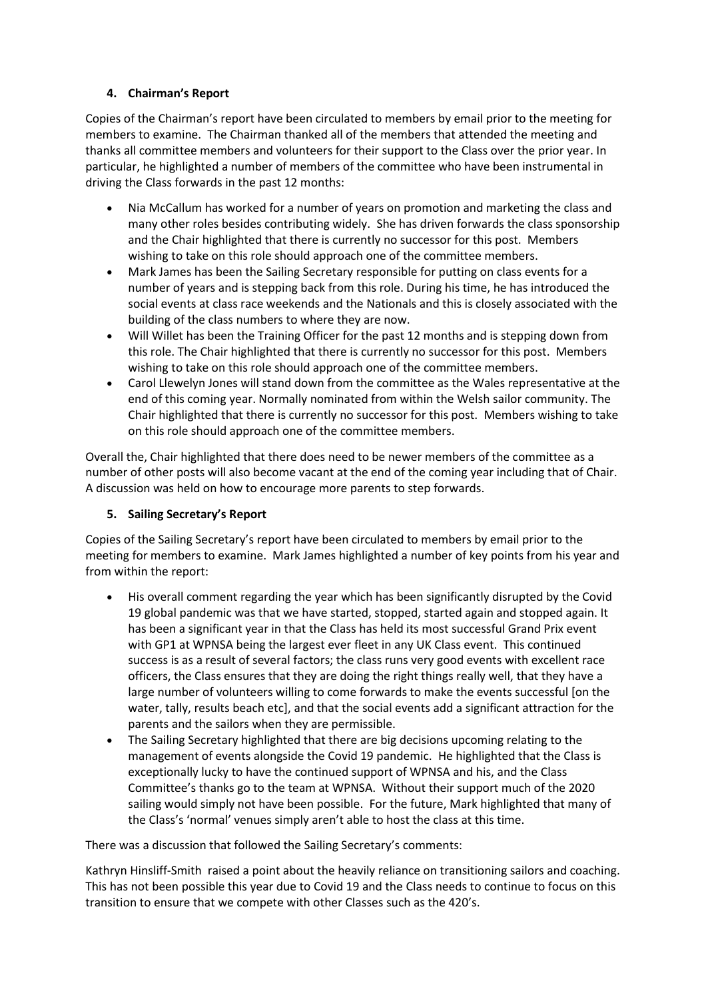# **4. Chairman's Report**

Copies of the Chairman's report have been circulated to members by email prior to the meeting for members to examine. The Chairman thanked all of the members that attended the meeting and thanks all committee members and volunteers for their support to the Class over the prior year. In particular, he highlighted a number of members of the committee who have been instrumental in driving the Class forwards in the past 12 months:

- Nia McCallum has worked for a number of years on promotion and marketing the class and many other roles besides contributing widely. She has driven forwards the class sponsorship and the Chair highlighted that there is currently no successor for this post. Members wishing to take on this role should approach one of the committee members.
- Mark James has been the Sailing Secretary responsible for putting on class events for a number of years and is stepping back from this role. During his time, he has introduced the social events at class race weekends and the Nationals and this is closely associated with the building of the class numbers to where they are now.
- Will Willet has been the Training Officer for the past 12 months and is stepping down from this role. The Chair highlighted that there is currently no successor for this post. Members wishing to take on this role should approach one of the committee members.
- Carol Llewelyn Jones will stand down from the committee as the Wales representative at the end of this coming year. Normally nominated from within the Welsh sailor community. The Chair highlighted that there is currently no successor for this post. Members wishing to take on this role should approach one of the committee members.

Overall the, Chair highlighted that there does need to be newer members of the committee as a number of other posts will also become vacant at the end of the coming year including that of Chair. A discussion was held on how to encourage more parents to step forwards.

# **5. Sailing Secretary's Report**

Copies of the Sailing Secretary's report have been circulated to members by email prior to the meeting for members to examine. Mark James highlighted a number of key points from his year and from within the report:

- His overall comment regarding the year which has been significantly disrupted by the Covid 19 global pandemic was that we have started, stopped, started again and stopped again. It has been a significant year in that the Class has held its most successful Grand Prix event with GP1 at WPNSA being the largest ever fleet in any UK Class event. This continued success is as a result of several factors; the class runs very good events with excellent race officers, the Class ensures that they are doing the right things really well, that they have a large number of volunteers willing to come forwards to make the events successful [on the water, tally, results beach etc], and that the social events add a significant attraction for the parents and the sailors when they are permissible.
- The Sailing Secretary highlighted that there are big decisions upcoming relating to the management of events alongside the Covid 19 pandemic. He highlighted that the Class is exceptionally lucky to have the continued support of WPNSA and his, and the Class Committee's thanks go to the team at WPNSA. Without their support much of the 2020 sailing would simply not have been possible. For the future, Mark highlighted that many of the Class's 'normal' venues simply aren't able to host the class at this time.

There was a discussion that followed the Sailing Secretary's comments:

Kathryn Hinsliff-Smith raised a point about the heavily reliance on transitioning sailors and coaching. This has not been possible this year due to Covid 19 and the Class needs to continue to focus on this transition to ensure that we compete with other Classes such as the 420's.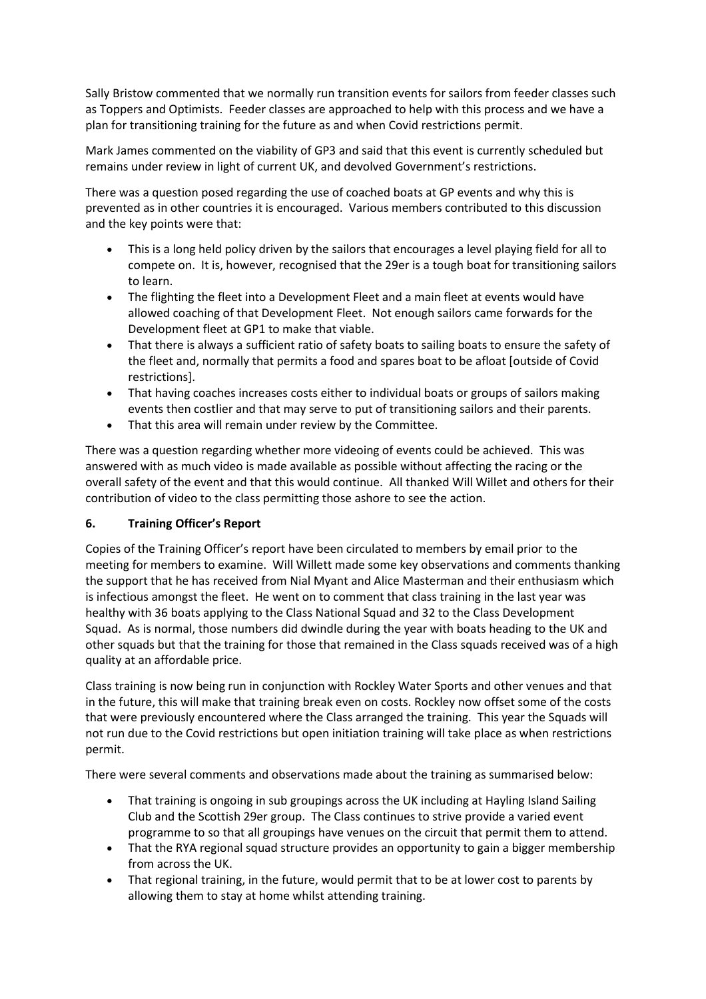Sally Bristow commented that we normally run transition events for sailors from feeder classes such as Toppers and Optimists. Feeder classes are approached to help with this process and we have a plan for transitioning training for the future as and when Covid restrictions permit.

Mark James commented on the viability of GP3 and said that this event is currently scheduled but remains under review in light of current UK, and devolved Government's restrictions.

There was a question posed regarding the use of coached boats at GP events and why this is prevented as in other countries it is encouraged. Various members contributed to this discussion and the key points were that:

- This is a long held policy driven by the sailors that encourages a level playing field for all to compete on. It is, however, recognised that the 29er is a tough boat for transitioning sailors to learn.
- The flighting the fleet into a Development Fleet and a main fleet at events would have allowed coaching of that Development Fleet. Not enough sailors came forwards for the Development fleet at GP1 to make that viable.
- That there is always a sufficient ratio of safety boats to sailing boats to ensure the safety of the fleet and, normally that permits a food and spares boat to be afloat [outside of Covid restrictions].
- That having coaches increases costs either to individual boats or groups of sailors making events then costlier and that may serve to put of transitioning sailors and their parents.
- That this area will remain under review by the Committee.

There was a question regarding whether more videoing of events could be achieved. This was answered with as much video is made available as possible without affecting the racing or the overall safety of the event and that this would continue. All thanked Will Willet and others for their contribution of video to the class permitting those ashore to see the action.

# **6. Training Officer's Report**

Copies of the Training Officer's report have been circulated to members by email prior to the meeting for members to examine. Will Willett made some key observations and comments thanking the support that he has received from Nial Myant and Alice Masterman and their enthusiasm which is infectious amongst the fleet. He went on to comment that class training in the last year was healthy with 36 boats applying to the Class National Squad and 32 to the Class Development Squad. As is normal, those numbers did dwindle during the year with boats heading to the UK and other squads but that the training for those that remained in the Class squads received was of a high quality at an affordable price.

Class training is now being run in conjunction with Rockley Water Sports and other venues and that in the future, this will make that training break even on costs. Rockley now offset some of the costs that were previously encountered where the Class arranged the training. This year the Squads will not run due to the Covid restrictions but open initiation training will take place as when restrictions permit.

There were several comments and observations made about the training as summarised below:

- That training is ongoing in sub groupings across the UK including at Hayling Island Sailing Club and the Scottish 29er group. The Class continues to strive provide a varied event programme to so that all groupings have venues on the circuit that permit them to attend.
- That the RYA regional squad structure provides an opportunity to gain a bigger membership from across the UK.
- That regional training, in the future, would permit that to be at lower cost to parents by allowing them to stay at home whilst attending training.